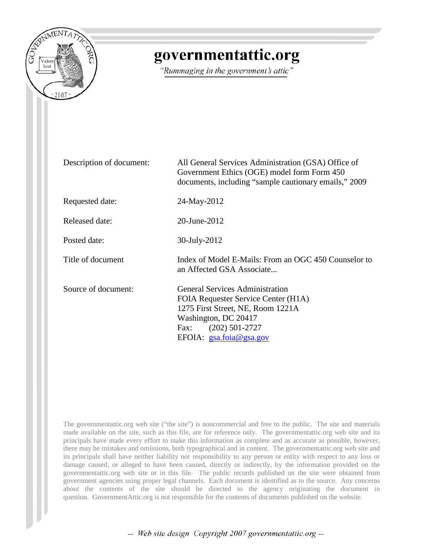

# governmentattic.org

"Rummaging in the government's attic"

| Description of document: | All General Services Administration (GSA) Office of<br>Government Ethics (OGE) model form Form 450<br>documents, including "sample cautionary emails," 2009                                         |
|--------------------------|-----------------------------------------------------------------------------------------------------------------------------------------------------------------------------------------------------|
| Requested date:          | 24-May-2012                                                                                                                                                                                         |
| Released date:           | 20-June-2012                                                                                                                                                                                        |
| Posted date:             | 30-July-2012                                                                                                                                                                                        |
| Title of document        | Index of Model E-Mails: From an OGC 450 Counselor to<br>an Affected GSA Associate                                                                                                                   |
| Source of document:      | <b>General Services Administration</b><br>FOIA Requester Service Center (H1A)<br>1275 First Street, NE, Room 1221A<br>Washington, DC 20417<br>$(202)$ 501-2727<br>Fax:<br>EFOIA: $gsa.foia@gsa.gov$ |

The governmentattic.org web site ("the site") is noncommercial and free to the public. The site and materials made available on the site, such as this file, are for reference only. The governmentattic.org web site and its principals have made every effort to make this information as complete and as accurate as possible, however, there may be mistakes and omissions, both typographical and in content. The governmentattic.org web site and its principals shall have neither liability nor responsibility to any person or entity with respect to any loss or damage caused, or alleged to have been caused, directly or indirectly, by the information provided on the governmentattic.org web site or in this file. The public records published on the site were obtained from government agencies using proper legal channels. Each document is identified as to the source. Any concerns about the contents of the site should be directed to the agency originating the document in question. GovernmentAttic.org is not responsible for the contents of documents published on the website.

-- Web site design Copyright 2007 governmentattic.org --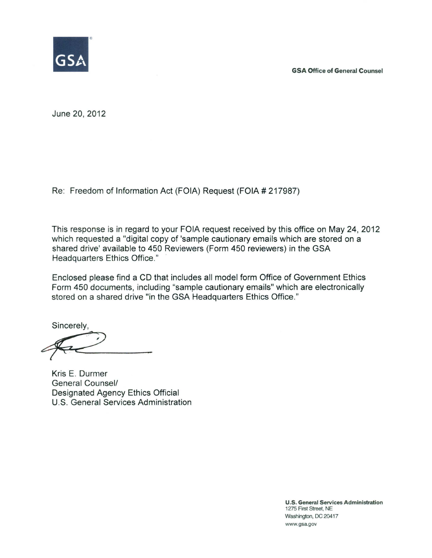GSA Office of General Counsel



June 20, 2012

Re: Freedom of Information Act (FOIA) Request (FOIA # 217987)

This response is in regard to your FOIA request received by this office on May 24, 2012 which requested a "digital copy of 'sample cautionary emails which are stored on a shared drive' available to 450 Reviewers (Form 450 reviewers) in the GSA Headquarters Ethics Office."

Enclosed please find a CD that includes all model form Office of Government Ethics Form 450 documents, including "sample cautionary emails" which are electronically stored on a shared drive "in the GSA Headquarters Ethics Office."

Sincerely,  $\leftarrow$ 

Kris E. Durrner General Counsel/ Designated Agency Ethics Official U.S. General Services Administration

U.S. General Services Administration 1275 First Street, NE Washington, DC 20417 www.gsa.gov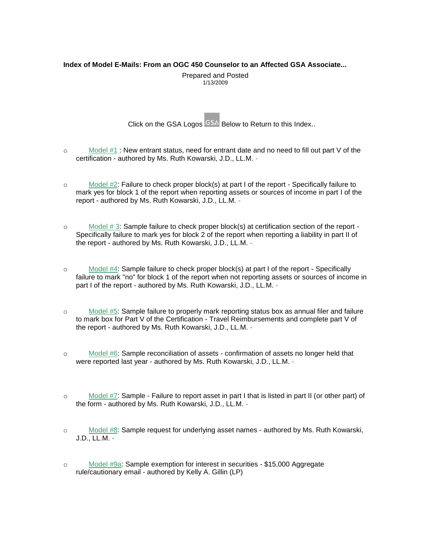# <span id="page-2-0"></span>**Index of Model E-Mails: From an OGC 450 Counselor to an Affected GSA Associate...**

Prepared and Posted 1/13/2009

Click on the GSA Logos  $\overline{GSA}$  Below to Return to this Index..

- o [Model #1](#page-4-0) : New entrant status, need for entrant date and no need to fill out part V of the certification - authored by Ms. Ruth Kowarski, J.D., LL.M. -
- $\circ$  [Model #2:](#page-5-0) Failure to check proper block(s) at part I of the report Specifically failure to mark yes for block 1 of the report when reporting assets or sources of income in part I of the report - authored by Ms. Ruth Kowarski, J.D., LL.M. -
- $\circ$  [Model](#page-5-1) # 3: Sample failure to check proper block(s) at certification section of the report -Specifically failure to mark yes for block 2 of the report when reporting a liability in part II of the report - authored by Ms. Ruth Kowarski, J.D., LL.M. -
- o [Model](#page-6-0) #4: Sample failure to check proper block(s) at part I of the report Specifically failure to mark "no" for block 1 of the report when not reporting assets or sources of income in part I of the report - authored by Ms. Ruth Kowarski, J.D., LL.M. -
- o [Model](#page-6-1) #5: Sample failure to properly mark reporting status box as annual filer and failure to mark box for Part V of the Certification - Travel Reimbursements and complete part V of the report - authored by Ms. Ruth Kowarski, J.D., LL.M. -
- o [Model](#page-7-0) #6: Sample reconciliation of assets confirmation of assets no longer held that were reported last year - authored by Ms. Ruth Kowarski, J.D., LL.M. -
- o [Model](#page-2-0) #7: Sample Failure to report asset in part I that is listed in part II (or other part) of the form - authored by Ms. Ruth Kowarski, J.D., LL.M. -
- o [Model](#page-8-0) #8: Sample request for underlying asset names authored by Ms. Ruth Kowarski, J.D., LL.M. -
- o [Model #9a:](#page-8-1) Sample exemption for interest in securities \$15,000 Aggregate rule/cautionary email - authored by Kelly A. Gillin (LP)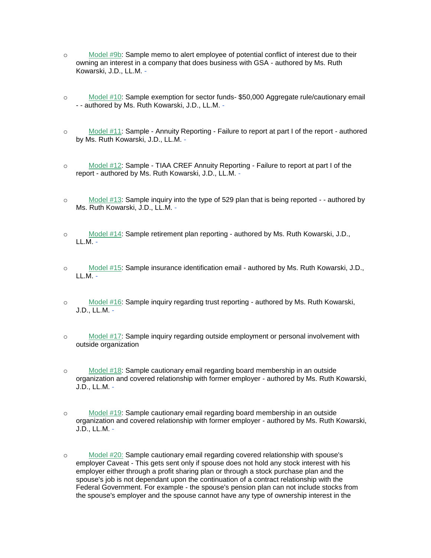- o [Model #9b:](#page-9-0) Sample memo to alert employee of potential conflict of interest due to their owning an interest in a company that does business with GSA - authored by Ms. Ruth Kowarski, J.D., LL.M. -
- o [Model #10:](#page-9-1) Sample exemption for sector funds- \$50,000 Aggregate rule/cautionary email - - authored by Ms. Ruth Kowarski, J.D., LL.M. -
- o [Model #11:](#page-10-0) Sample Annuity Reporting Failure to report at part I of the report authored by Ms. Ruth Kowarski, J.D., LL.M. -
- o [Model #12:](#page-11-0) Sample TIAA CREF Annuity Reporting Failure to report at part I of the report - authored by Ms. Ruth Kowarski, J.D., LL.M. -
- o [Model #13:](#page-12-0) Sample inquiry into the type of 529 plan that is being reported - authored by Ms. Ruth Kowarski, J.D., LL.M. -
- o [Model #14:](#page-12-1) Sample retirement plan reporting authored by Ms. Ruth Kowarski, J.D.,  $LL.M. -$
- o [Model #15:](#page-13-0) Sample insurance identification email authored by Ms. Ruth Kowarski, J.D.,  $LL.M. -$
- o [Model #16:](#page-14-0) Sample inquiry regarding trust reporting authored by Ms. Ruth Kowarski, J.D., LL.M. -
- o [Model #17:](#page-14-1) Sample inquiry regarding outside employment or personal involvement with outside organization
- o [Model #18:](#page-15-0) Sample cautionary email regarding board membership in an outside organization and covered relationship with former employer - authored by Ms. Ruth Kowarski, J.D., LL.M. -
- o [Model #19:](#page-16-0) Sample cautionary email regarding board membership in an outside organization and covered relationship with former employer - authored by Ms. Ruth Kowarski, J.D., LL.M. -
- o [Model #20:](#page-17-0) Sample cautionary email regarding covered relationship with spouse's employer Caveat - This gets sent only if spouse does not hold any stock interest with his employer either through a profit sharing plan or through a stock purchase plan and the spouse's job is not dependant upon the continuation of a contract relationship with the Federal Government. For example - the spouse's pension plan can not include stocks from the spouse's employer and the spouse cannot have any type of ownership interest in the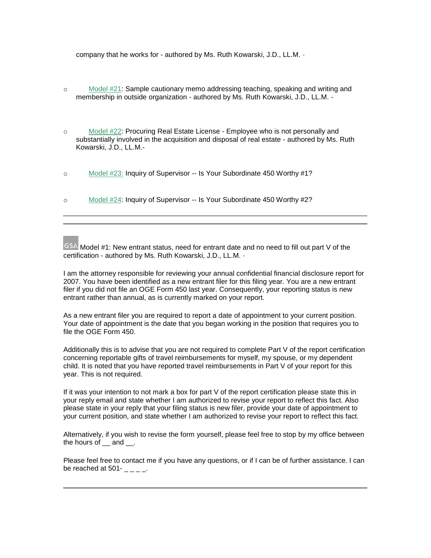company that he works for - authored by Ms. Ruth Kowarski, J.D., LL.M. -

- o [Model #21:](#page-18-0) Sample cautionary memo addressing teaching, speaking and writing and membership in outside organization - authored by Ms. Ruth Kowarski, J.D., LL.M. -
- o [Model #22:](#page-19-0) Procuring Real Estate License Employee who is not personally and substantially involved in the acquisition and disposal of real estate - authored by Ms. Ruth Kowarski, J.D., LL.M.-
- o [Model #23:](#page-20-0) Inquiry of Supervisor -- Is Your Subordinate 450 Worthy #1?
- o [Model #24:](#page-21-0) Inquiry of Supervisor -- Is Your Subordinate 450 Worthy #2?

<span id="page-4-0"></span>GSA Model #1: New entrant status, need for entrant date and no need to fill out part V of the certification - authored by Ms. Ruth Kowarski, J.D., LL.M. -

I am the attorney responsible for reviewing your annual confidential financial disclosure report for 2007. You have been identified as a new entrant filer for this filing year. You are a new entrant filer if you did not file an OGE Form 450 last year. Consequently, your reporting status is new entrant rather than annual, as is currently marked on your report.

As a new entrant filer you are required to report a date of appointment to your current position. Your date of appointment is the date that you began working in the position that requires you to file the OGE Form 450.

Additionally this is to advise that you are not required to complete Part V of the report certification concerning reportable gifts of travel reimbursements for myself, my spouse, or my dependent child. It is noted that you have reported travel reimbursements in Part V of your report for this year. This is not required.

If it was your intention to not mark a box for part V of the report certification please state this in your reply email and state whether I am authorized to revise your report to reflect this fact. Also please state in your reply that your filing status is new filer, provide your date of appointment to your current position, and state whether I am authorized to revise your report to reflect this fact.

Alternatively, if you wish to revise the form yourself, please feel free to stop by my office between the hours of and .

Please feel free to contact me if you have any questions, or if I can be of further assistance. I can be reached at  $501 - 2 = 0$ .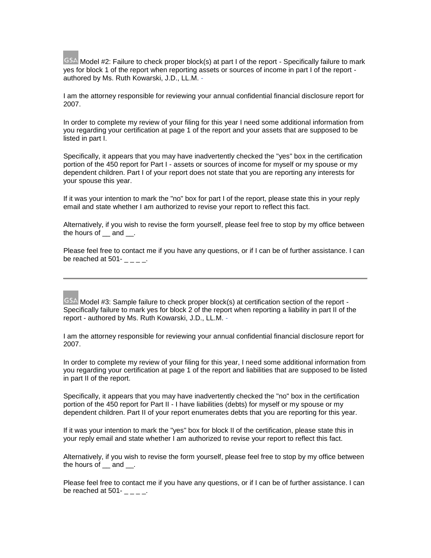<span id="page-5-0"></span>GSA Model #2: Failure to check proper block(s) at part I of the report - Specifically failure to mark yes for block 1 of the report when reporting assets or sources of income in part I of the report authored by Ms. Ruth Kowarski, J.D., LL.M. -

I am the attorney responsible for reviewing your annual confidential financial disclosure report for 2007.

In order to complete my review of your filing for this year I need some additional information from you regarding your certification at page 1 of the report and your assets that are supposed to be listed in part I.

Specifically, it appears that you may have inadvertently checked the "yes" box in the certification portion of the 450 report for Part I - assets or sources of income for myself or my spouse or my dependent children. Part I of your report does not state that you are reporting any interests for your spouse this year.

If it was your intention to mark the "no" box for part I of the report, please state this in your reply email and state whether I am authorized to revise your report to reflect this fact.

Alternatively, if you wish to revise the form yourself, please feel free to stop by my office between the hours of  $\_\$  and  $\_\$ .

Please feel free to contact me if you have any questions, or if I can be of further assistance. I can be reached at  $501 - 2 = -1$ .

# <span id="page-5-1"></span>GSA Model #3: Sample failure to check proper block(s) at certification section of the report -Specifically failure to mark yes for block 2 of the report when reporting a liability in part II of the report - authored by Ms. Ruth Kowarski, J.D., LL.M. -

I am the attorney responsible for reviewing your annual confidential financial disclosure report for 2007.

In order to complete my review of your filing for this year, I need some additional information from you regarding your certification at page 1 of the report and liabilities that are supposed to be listed in part II of the report.

Specifically, it appears that you may have inadvertently checked the "no" box in the certification portion of the 450 report for Part II - I have liabilities (debts) for myself or my spouse or my dependent children. Part II of your report enumerates debts that you are reporting for this year.

If it was your intention to mark the "yes" box for block II of the certification, please state this in your reply email and state whether I am authorized to revise your report to reflect this fact.

Alternatively, if you wish to revise the form yourself, please feel free to stop by my office between the hours of and .

Please feel free to contact me if you have any questions, or if I can be of further assistance. I can be reached at 501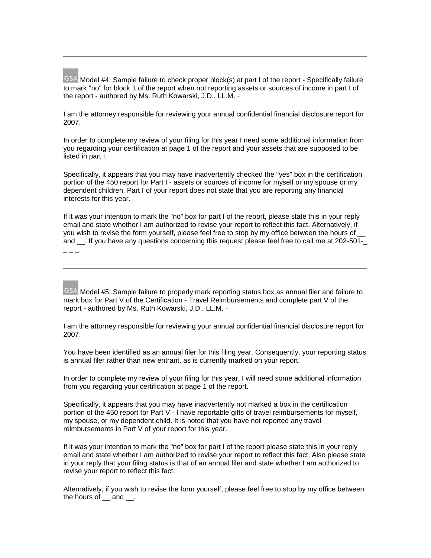<span id="page-6-0"></span>GSA Model #4: Sample failure to check proper block(s) at part I of the report - Specifically failure to mark "no" for block 1 of the report when not reporting assets or sources of income in part I of the report - authored by Ms. Ruth Kowarski, J.D., LL.M. -

I am the attorney responsible for reviewing your annual confidential financial disclosure report for 2007.

In order to complete my review of your filing for this year I need some additional information from you regarding your certification at page 1 of the report and your assets that are supposed to be listed in part I.

Specifically, it appears that you may have inadvertently checked the "yes" box in the certification portion of the 450 report for Part I - assets or sources of income for myself or my spouse or my dependent children. Part I of your report does not state that you are reporting any financial interests for this year.

If it was your intention to mark the "no" box for part I of the report, please state this in your reply email and state whether I am authorized to revise your report to reflect this fact. Alternatively, if you wish to revise the form yourself, please feel free to stop by my office between the hours of and \_\_. If you have any questions concerning this request please feel free to call me at 202-501-\_  $- - -$ 

<span id="page-6-1"></span>GSA Model #5: Sample failure to properly mark reporting status box as annual filer and failure to mark box for Part V of the Certification - Travel Reimbursements and complete part V of the report - authored by Ms. Ruth Kowarski, J.D., LL.M. -

I am the attorney responsible for reviewing your annual confidential financial disclosure report for 2007.

You have been identified as an annual filer for this filing year. Consequently, your reporting status is annual filer rather than new entrant, as is currently marked on your report.

In order to complete my review of your filing for this year, I will need some additional information from you regarding your certification at page 1 of the report.

Specifically, it appears that you may have inadvertently not marked a box in the certification portion of the 450 report for Part V - I have reportable gifts of travel reimbursements for myself, my spouse, or my dependent child. It is noted that you have not reported any travel reimbursements in Part V of your report for this year.

If it was your intention to mark the "no" box for part I of the report please state this in your reply email and state whether I am authorized to revise your report to reflect this fact. Also please state in your reply that your filing status is that of an annual filer and state whether I am authorized to revise your report to reflect this fact.

Alternatively, if you wish to revise the form yourself, please feel free to stop by my office between the hours of and .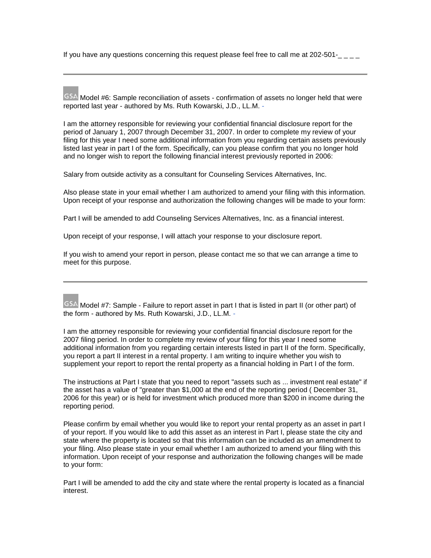If you have any questions concerning this request please feel free to call me at  $202-501$ - $\frac{1}{2}$ 

<span id="page-7-0"></span>GSA Model #6: Sample reconciliation of assets - confirmation of assets no longer held that were reported last year - authored by Ms. Ruth Kowarski, J.D., LL.M. -

I am the attorney responsible for reviewing your confidential financial disclosure report for the period of January 1, 2007 through December 31, 2007. In order to complete my review of your filing for this year I need some additional information from you regarding certain assets previously listed last year in part I of the form. Specifically, can you please confirm that you no longer hold and no longer wish to report the following financial interest previously reported in 2006:

Salary from outside activity as a consultant for Counseling Services Alternatives, Inc.

Also please state in your email whether I am authorized to amend your filing with this information. Upon receipt of your response and authorization the following changes will be made to your form:

Part I will be amended to add Counseling Services Alternatives, Inc. as a financial interest.

Upon receipt of your response, I will attach your response to your disclosure report.

If you wish to amend your report in person, please contact me so that we can arrange a time to meet for this purpose.

GSA Model #7: Sample - Failure to report asset in part I that is listed in part II (or other part) of the form - authored by Ms. Ruth Kowarski, J.D., LL.M. -

I am the attorney responsible for reviewing your confidential financial disclosure report for the 2007 filing period. In order to complete my review of your filing for this year I need some additional information from you regarding certain interests listed in part II of the form. Specifically, you report a part II interest in a rental property. I am writing to inquire whether you wish to supplement your report to report the rental property as a financial holding in Part I of the form.

The instructions at Part I state that you need to report "assets such as ... investment real estate" if the asset has a value of "greater than \$1,000 at the end of the reporting period ( December 31, 2006 for this year) or is held for investment which produced more than \$200 in income during the reporting period.

Please confirm by email whether you would like to report your rental property as an asset in part I of your report. If you would like to add this asset as an interest in Part I, please state the city and state where the property is located so that this information can be included as an amendment to your filing. Also please state in your email whether I am authorized to amend your filing with this information. Upon receipt of your response and authorization the following changes will be made to your form:

Part I will be amended to add the city and state where the rental property is located as a financial interest.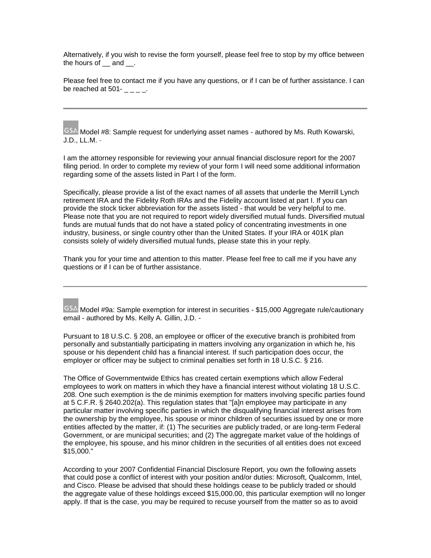Alternatively, if you wish to revise the form yourself, please feel free to stop by my office between the hours of and .

Please feel free to contact me if you have any questions, or if I can be of further assistance. I can be reached at 501-

<span id="page-8-0"></span>GSA Model #8: Sample request for underlying asset names - authored by Ms. Ruth Kowarski, J.D., LL.M. -

I am the attorney responsible for reviewing your annual financial disclosure report for the 2007 filing period. In order to complete my review of your form I will need some additional information regarding some of the assets listed in Part I of the form.

Specifically, please provide a list of the exact names of all assets that underlie the Merrill Lynch retirement IRA and the Fidelity Roth IRAs and the Fidelity account listed at part I. If you can provide the stock ticker abbreviation for the assets listed - that would be very helpful to me. Please note that you are not required to report widely diversified mutual funds. Diversified mutual funds are mutual funds that do not have a stated policy of concentrating investments in one industry, business, or single country other than the United States. If your IRA or 401K plan consists solely of widely diversified mutual funds, please state this in your reply.

Thank you for your time and attention to this matter. Please feel free to call me if you have any questions or if I can be of further assistance.

<span id="page-8-1"></span>GSA Model #9a: Sample exemption for interest in securities - \$15,000 Aggregate rule/cautionary email - authored by Ms. Kelly A. Gillin, J.D. -

Pursuant to 18 U.S.C. § 208, an employee or officer of the executive branch is prohibited from personally and substantially participating in matters involving any organization in which he, his spouse or his dependent child has a financial interest. If such participation does occur, the employer or officer may be subject to criminal penalties set forth in 18 U.S.C. § 216.

The Office of Governmentwide Ethics has created certain exemptions which allow Federal employees to work on matters in which they have a financial interest without violating 18 U.S.C. 208. One such exemption is the de minimis exemption for matters involving specific parties found at 5 C.F.R. § 2640.202(a). This regulation states that "[a]n employee may participate in any particular matter involving specific parties in which the disqualifying financial interest arises from the ownership by the employee, his spouse or minor children of securities issued by one or more entities affected by the matter, if: (1) The securities are publicly traded, or are long-term Federal Government, or are municipal securities; and (2) The aggregate market value of the holdings of the employee, his spouse, and his minor children in the securities of all entities does not exceed \$15,000."

According to your 2007 Confidential Financial Disclosure Report, you own the following assets that could pose a conflict of interest with your position and/or duties: Microsoft, Qualcomm, Intel, and Cisco. Please be advised that should these holdings cease to be publicly traded or should the aggregate value of these holdings exceed \$15,000.00, this particular exemption will no longer apply. If that is the case, you may be required to recuse yourself from the matter so as to avoid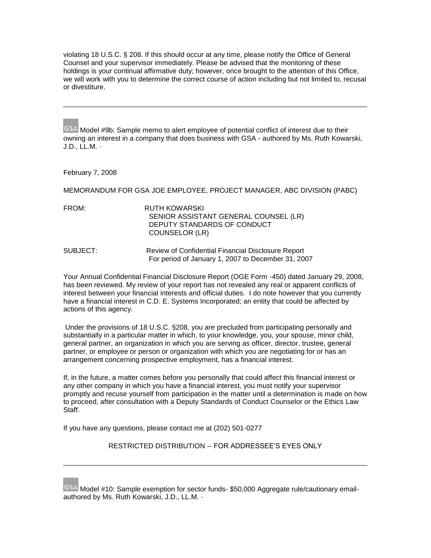violating 18 U.S.C. § 208. If this should occur at any time, please notify the Office of General Counsel and your supervisor immediately. Please be advised that the monitoring of these holdings is your continual affirmative duty; however, once brought to the attention of this Office, we will work with you to determine the correct course of action including but not limited to, recusal or divestiture.

<span id="page-9-0"></span>GSA Model #9b: Sample memo to alert employee of potential conflict of interest due to their owning an interest in a company that does business with GSA - authored by Ms. Ruth Kowarski, J.D., LL.M. -

### February 7, 2008

MEMORANDUM FOR GSA JOE EMPLOYEE, PROJECT MANAGER, ABC DIVISION (PABC)

FROM: RUTH KOWARSKI SENIOR ASSISTANT GENERAL COUNSEL (LR) DEPUTY STANDARDS OF CONDUCT COUNSELOR (LR)

SUBJECT: Review of Confidential Financial Disclosure Report For period of January 1, 2007 to December 31, 2007

Your Annual Confidential Financial Disclosure Report (OGE Form -450) dated January 29, 2008, has been reviewed. My review of your report has not revealed any real or apparent conflicts of interest between your financial interests and official duties. I do note however that you currently have a financial interest in C.D. E. Systems Incorporated; an entity that could be affected by actions of this agency.

 Under the provisions of 18 U.S.C. §208, you are precluded from participating personally and substantially in a particular matter in which, to your knowledge, you, your spouse, minor child, general partner, an organization in which you are serving as officer, director, trustee, general partner, or employee or person or organization with which you are negotiating for or has an arrangement concerning prospective employment, has a financial interest.

If, in the future, a matter comes before you personally that could affect this financial interest or any other company in which you have a financial interest, you must notify your supervisor promptly and recuse yourself from participation in the matter until a determination is made on how to proceed, after consultation with a Deputy Standards of Conduct Counselor or the Ethics Law Staff.

If you have any questions, please contact me at (202) 501-0277

RESTRICTED DISTRIBUTION -- FOR ADDRESSEE'S EYES ONLY

GSA Model #10: Sample exemption for sector funds- \$50,000 Aggregate rule/cautionary emailauthored by Ms. Ruth Kowarski, J.D., LL.M. -

<span id="page-9-1"></span>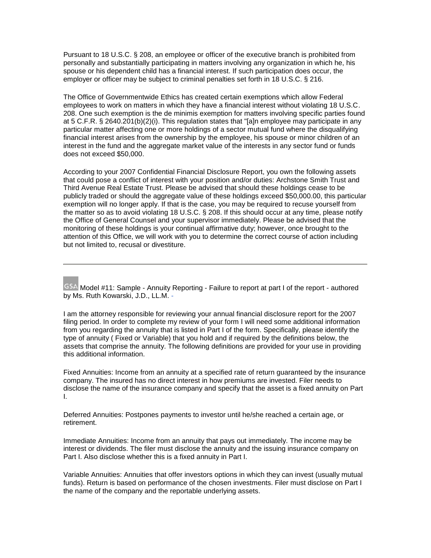Pursuant to 18 U.S.C. § 208, an employee or officer of the executive branch is prohibited from personally and substantially participating in matters involving any organization in which he, his spouse or his dependent child has a financial interest. If such participation does occur, the employer or officer may be subject to criminal penalties set forth in 18 U.S.C. § 216.

The Office of Governmentwide Ethics has created certain exemptions which allow Federal employees to work on matters in which they have a financial interest without violating 18 U.S.C. 208. One such exemption is the de minimis exemption for matters involving specific parties found at 5 C.F.R. § 2640.201(b)(2)(i). This regulation states that "[a]n employee may participate in any particular matter affecting one or more holdings of a sector mutual fund where the disqualifying financial interest arises from the ownership by the employee, his spouse or minor children of an interest in the fund and the aggregate market value of the interests in any sector fund or funds does not exceed \$50,000.

According to your 2007 Confidential Financial Disclosure Report, you own the following assets that could pose a conflict of interest with your position and/or duties: Archstone Smith Trust and Third Avenue Real Estate Trust. Please be advised that should these holdings cease to be publicly traded or should the aggregate value of these holdings exceed \$50,000.00, this particular exemption will no longer apply. If that is the case, you may be required to recuse yourself from the matter so as to avoid violating 18 U.S.C. § 208. If this should occur at any time, please notify the Office of General Counsel and your supervisor immediately. Please be advised that the monitoring of these holdings is your continual affirmative duty; however, once brought to the attention of this Office, we will work with you to determine the correct course of action including but not limited to, recusal or divestiture.

<span id="page-10-0"></span>GSA Model #11: Sample - Annuity Reporting - Failure to report at part I of the report - authored by Ms. Ruth Kowarski, J.D., LL.M. -

I am the attorney responsible for reviewing your annual financial disclosure report for the 2007 filing period. In order to complete my review of your form I will need some additional information from you regarding the annuity that is listed in Part I of the form. Specifically, please identify the type of annuity ( Fixed or Variable) that you hold and if required by the definitions below, the assets that comprise the annuity. The following definitions are provided for your use in providing this additional information.

Fixed Annuities: Income from an annuity at a specified rate of return guaranteed by the insurance company. The insured has no direct interest in how premiums are invested. Filer needs to disclose the name of the insurance company and specify that the asset is a fixed annuity on Part I.

Deferred Annuities: Postpones payments to investor until he/she reached a certain age, or retirement.

Immediate Annuities: Income from an annuity that pays out immediately. The income may be interest or dividends. The filer must disclose the annuity and the issuing insurance company on Part I. Also disclose whether this is a fixed annuity in Part I.

Variable Annuities: Annuities that offer investors options in which they can invest (usually mutual funds). Return is based on performance of the chosen investments. Filer must disclose on Part I the name of the company and the reportable underlying assets.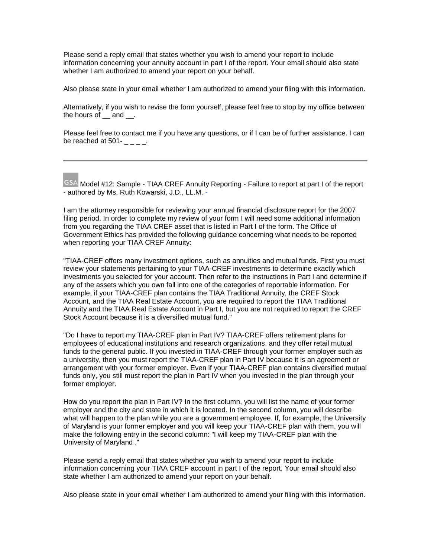Please send a reply email that states whether you wish to amend your report to include information concerning your annuity account in part I of the report. Your email should also state whether I am authorized to amend your report on your behalf.

Also please state in your email whether I am authorized to amend your filing with this information.

Alternatively, if you wish to revise the form yourself, please feel free to stop by my office between the hours of and .

Please feel free to contact me if you have any questions, or if I can be of further assistance. I can be reached at  $501 -$  \_ \_ \_ \_.

<span id="page-11-0"></span>GSA Model #12: Sample - TIAA CREF Annuity Reporting - Failure to report at part I of the report - authored by Ms. Ruth Kowarski, J.D., LL.M. -

I am the attorney responsible for reviewing your annual financial disclosure report for the 2007 filing period. In order to complete my review of your form I will need some additional information from you regarding the TIAA CREF asset that is listed in Part I of the form. The Office of Government Ethics has provided the following guidance concerning what needs to be reported when reporting your TIAA CREF Annuity:

"TIAA-CREF offers many investment options, such as annuities and mutual funds. First you must review your statements pertaining to your TIAA-CREF investments to determine exactly which investments you selected for your account. Then refer to the instructions in Part I and determine if any of the assets which you own fall into one of the categories of reportable information. For example, if your TIAA-CREF plan contains the TIAA Traditional Annuity, the CREF Stock Account, and the TIAA Real Estate Account, you are required to report the TIAA Traditional Annuity and the TIAA Real Estate Account in Part I, but you are not required to report the CREF Stock Account because it is a diversified mutual fund."

"Do I have to report my TIAA-CREF plan in Part IV? TIAA-CREF offers retirement plans for employees of educational institutions and research organizations, and they offer retail mutual funds to the general public. If you invested in TIAA-CREF through your former employer such as a university, then you must report the TIAA-CREF plan in Part IV because it is an agreement or arrangement with your former employer. Even if your TIAA-CREF plan contains diversified mutual funds only, you still must report the plan in Part IV when you invested in the plan through your former employer.

How do you report the plan in Part IV? In the first column, you will list the name of your former employer and the city and state in which it is located. In the second column, you will describe what will happen to the plan while you are a government employee. If, for example, the University of Maryland is your former employer and you will keep your TIAA-CREF plan with them, you will make the following entry in the second column: "I will keep my TIAA-CREF plan with the University of Maryland ."

Please send a reply email that states whether you wish to amend your report to include information concerning your TIAA CREF account in part I of the report. Your email should also state whether I am authorized to amend your report on your behalf.

Also please state in your email whether I am authorized to amend your filing with this information.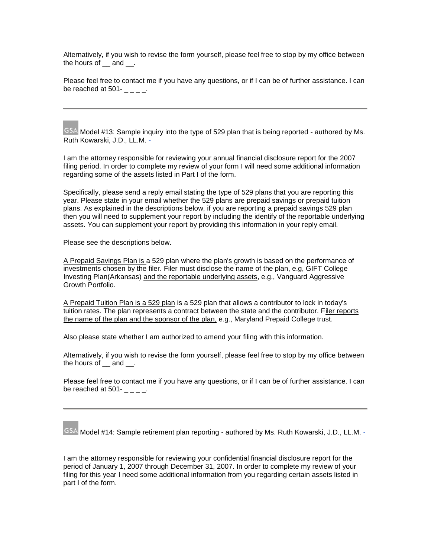Alternatively, if you wish to revise the form yourself, please feel free to stop by my office between the hours of and .

Please feel free to contact me if you have any questions, or if I can be of further assistance. I can be reached at 501-

<span id="page-12-0"></span>GSA Model #13: Sample inquiry into the type of 529 plan that is being reported - authored by Ms. Ruth Kowarski, J.D., LL.M. -

I am the attorney responsible for reviewing your annual financial disclosure report for the 2007 filing period. In order to complete my review of your form I will need some additional information regarding some of the assets listed in Part I of the form.

Specifically, please send a reply email stating the type of 529 plans that you are reporting this year. Please state in your email whether the 529 plans are prepaid savings or prepaid tuition plans. As explained in the descriptions below, if you are reporting a prepaid savings 529 plan then you will need to supplement your report by including the identify of the reportable underlying assets. You can supplement your report by providing this information in your reply email.

Please see the descriptions below.

A Prepaid Savings Plan is a 529 plan where the plan's growth is based on the performance of investments chosen by the filer. Filer must disclose the name of the plan, e.g, GIFT College Investing Plan(Arkansas) and the reportable underlying assets, e.g., Vanguard Aggressive Growth Portfolio.

A Prepaid Tuition Plan is a 529 plan is a 529 plan that allows a contributor to lock in today's tuition rates. The plan represents a contract between the state and the contributor. Filer reports the name of the plan and the sponsor of the plan, e.g., Maryland Prepaid College trust.

Also please state whether I am authorized to amend your filing with this information.

Alternatively, if you wish to revise the form yourself, please feel free to stop by my office between the hours of and .

Please feel free to contact me if you have any questions, or if I can be of further assistance. I can be reached at  $501 - 2 = 0$ .

<span id="page-12-1"></span>GSA Model #14: Sample retirement plan reporting - authored by Ms. Ruth Kowarski, J.D., LL.M. -

I am the attorney responsible for reviewing your confidential financial disclosure report for the period of January 1, 2007 through December 31, 2007. In order to complete my review of your filing for this year I need some additional information from you regarding certain assets listed in part I of the form.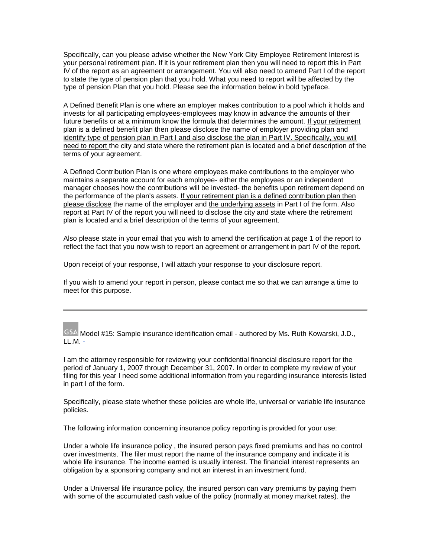Specifically, can you please advise whether the New York City Employee Retirement Interest is your personal retirement plan. If it is your retirement plan then you will need to report this in Part IV of the report as an agreement or arrangement. You will also need to amend Part I of the report to state the type of pension plan that you hold. What you need to report will be affected by the type of pension Plan that you hold. Please see the information below in bold typeface.

A Defined Benefit Plan is one where an employer makes contribution to a pool which it holds and invests for all participating employees-employees may know in advance the amounts of their future benefits or at a minimum know the formula that determines the amount. If your retirement plan is a defined benefit plan then please disclose the name of employer providing plan and identify type of pension plan in Part I and also disclose the plan in Part IV. Specifically, you will need to report the city and state where the retirement plan is located and a brief description of the terms of your agreement.

A Defined Contribution Plan is one where employees make contributions to the employer who maintains a separate account for each employee- either the employees or an independent manager chooses how the contributions will be invested- the benefits upon retirement depend on the performance of the plan's assets. If your retirement plan is a defined contribution plan then please disclose the name of the employer and the underlying assets in Part I of the form. Also report at Part IV of the report you will need to disclose the city and state where the retirement plan is located and a brief description of the terms of your agreement.

Also please state in your email that you wish to amend the certification at page 1 of the report to reflect the fact that you now wish to report an agreement or arrangement in part IV of the report.

Upon receipt of your response, I will attach your response to your disclosure report.

If you wish to amend your report in person, please contact me so that we can arrange a time to meet for this purpose.

<span id="page-13-0"></span>GSA Model #15: Sample insurance identification email - authored by Ms. Ruth Kowarski, J.D., LL.M. -

I am the attorney responsible for reviewing your confidential financial disclosure report for the period of January 1, 2007 through December 31, 2007. In order to complete my review of your filing for this year I need some additional information from you regarding insurance interests listed in part I of the form.

Specifically, please state whether these policies are whole life, universal or variable life insurance policies.

The following information concerning insurance policy reporting is provided for your use:

Under a whole life insurance policy , the insured person pays fixed premiums and has no control over investments. The filer must report the name of the insurance company and indicate it is whole life insurance. The income earned is usually interest. The financial interest represents an obligation by a sponsoring company and not an interest in an investment fund.

Under a Universal life insurance policy, the insured person can vary premiums by paying them with some of the accumulated cash value of the policy (normally at money market rates). the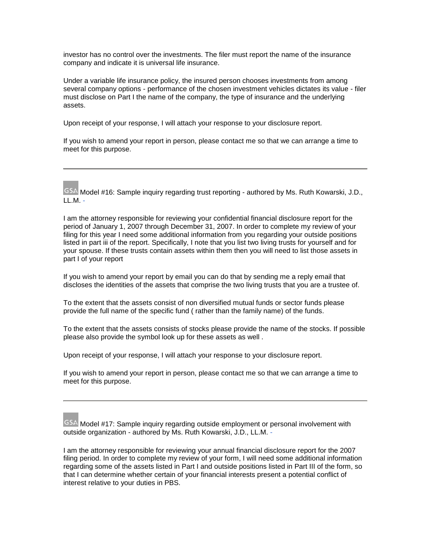investor has no control over the investments. The filer must report the name of the insurance company and indicate it is universal life insurance.

Under a variable life insurance policy, the insured person chooses investments from among several company options - performance of the chosen investment vehicles dictates its value - filer must disclose on Part I the name of the company, the type of insurance and the underlying assets.

Upon receipt of your response, I will attach your response to your disclosure report.

If you wish to amend your report in person, please contact me so that we can arrange a time to meet for this purpose.

<span id="page-14-0"></span>GSA Model #16: Sample inquiry regarding trust reporting - authored by Ms. Ruth Kowarski, J.D., LL.M. -

I am the attorney responsible for reviewing your confidential financial disclosure report for the period of January 1, 2007 through December 31, 2007. In order to complete my review of your filing for this year I need some additional information from you regarding your outside positions listed in part iii of the report. Specifically, I note that you list two living trusts for yourself and for your spouse. If these trusts contain assets within them then you will need to list those assets in part I of your report

If you wish to amend your report by email you can do that by sending me a reply email that discloses the identities of the assets that comprise the two living trusts that you are a trustee of.

To the extent that the assets consist of non diversified mutual funds or sector funds please provide the full name of the specific fund ( rather than the family name) of the funds.

To the extent that the assets consists of stocks please provide the name of the stocks. If possible please also provide the symbol look up for these assets as well .

Upon receipt of your response, I will attach your response to your disclosure report.

If you wish to amend your report in person, please contact me so that we can arrange a time to meet for this purpose.

<span id="page-14-1"></span>GSA Model #17: Sample inquiry regarding outside employment or personal involvement with outside organization - authored by Ms. Ruth Kowarski, J.D., LL.M. -

I am the attorney responsible for reviewing your annual financial disclosure report for the 2007 filing period. In order to complete my review of your form, I will need some additional information regarding some of the assets listed in Part I and outside positions listed in Part III of the form, so that I can determine whether certain of your financial interests present a potential conflict of interest relative to your duties in PBS.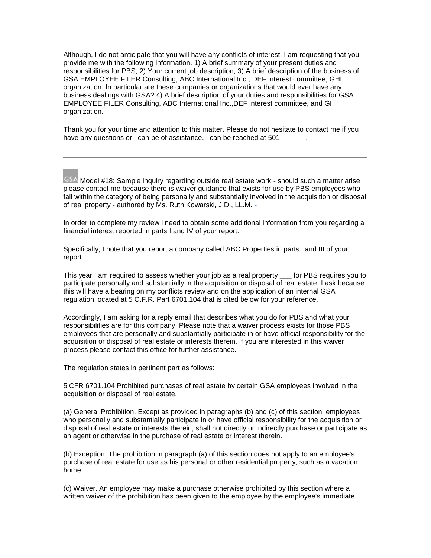Although, I do not anticipate that you will have any conflicts of interest, I am requesting that you provide me with the following information. 1) A brief summary of your present duties and responsibilities for PBS; 2) Your current job description; 3) A brief description of the business of GSA EMPLOYEE FILER Consulting, ABC International Inc., DEF interest committee, GHI organization. In particular are these companies or organizations that would ever have any business dealings with GSA? 4) A brief description of your duties and responsibilities for GSA EMPLOYEE FILER Consulting, ABC International Inc.,DEF interest committee, and GHI organization.

Thank you for your time and attention to this matter. Please do not hesitate to contact me if you have any questions or I can be of assistance. I can be reached at 501-

<span id="page-15-0"></span>GSA Model #18: Sample inquiry regarding outside real estate work - should such a matter arise please contact me because there is waiver guidance that exists for use by PBS employees who fall within the category of being personally and substantially involved in the acquisition or disposal of real property - authored by Ms. Ruth Kowarski, J.D., LL.M. -

In order to complete my review i need to obtain some additional information from you regarding a financial interest reported in parts I and IV of your report.

Specifically, I note that you report a company called ABC Properties in parts i and III of your report.

This year I am required to assess whether your job as a real property for PBS requires you to participate personally and substantially in the acquisition or disposal of real estate. I ask because this will have a bearing on my conflicts review and on the application of an internal GSA regulation located at 5 C.F.R. Part 6701.104 that is cited below for your reference.

Accordingly, I am asking for a reply email that describes what you do for PBS and what your responsibilities are for this company. Please note that a waiver process exists for those PBS employees that are personally and substantially participate in or have official responsibility for the acquisition or disposal of real estate or interests therein. If you are interested in this waiver process please contact this office for further assistance.

The regulation states in pertinent part as follows:

5 CFR 6701.104 Prohibited purchases of real estate by certain GSA employees involved in the acquisition or disposal of real estate.

(a) General Prohibition. Except as provided in paragraphs (b) and (c) of this section, employees who personally and substantially participate in or have official responsibility for the acquisition or disposal of real estate or interests therein, shall not directly or indirectly purchase or participate as an agent or otherwise in the purchase of real estate or interest therein.

(b) Exception. The prohibition in paragraph (a) of this section does not apply to an employee's purchase of real estate for use as his personal or other residential property, such as a vacation home.

(c) Waiver. An employee may make a purchase otherwise prohibited by this section where a written waiver of the prohibition has been given to the employee by the employee's immediate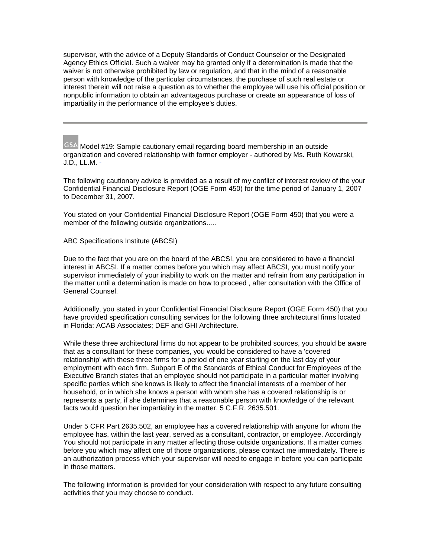supervisor, with the advice of a Deputy Standards of Conduct Counselor or the Designated Agency Ethics Official. Such a waiver may be granted only if a determination is made that the waiver is not otherwise prohibited by law or regulation, and that in the mind of a reasonable person with knowledge of the particular circumstances, the purchase of such real estate or interest therein will not raise a question as to whether the employee will use his official position or nonpublic information to obtain an advantageous purchase or create an appearance of loss of impartiality in the performance of the employee's duties.

<span id="page-16-0"></span>GSA Model #19: Sample cautionary email regarding board membership in an outside organization and covered relationship with former employer - authored by Ms. Ruth Kowarski, J.D., LL.M. -

The following cautionary advice is provided as a result of my conflict of interest review of the your Confidential Financial Disclosure Report (OGE Form 450) for the time period of January 1, 2007 to December 31, 2007.

You stated on your Confidential Financial Disclosure Report (OGE Form 450) that you were a member of the following outside organizations.....

ABC Specifications Institute (ABCSI)

Due to the fact that you are on the board of the ABCSI, you are considered to have a financial interest in ABCSI. If a matter comes before you which may affect ABCSI, you must notify your supervisor immediately of your inability to work on the matter and refrain from any participation in the matter until a determination is made on how to proceed , after consultation with the Office of General Counsel.

Additionally, you stated in your Confidential Financial Disclosure Report (OGE Form 450) that you have provided specification consulting services for the following three architectural firms located in Florida: ACAB Associates; DEF and GHI Architecture.

While these three architectural firms do not appear to be prohibited sources, you should be aware that as a consultant for these companies, you would be considered to have a 'covered relationship' with these three firms for a period of one year starting on the last day of your employment with each firm. Subpart E of the Standards of Ethical Conduct for Employees of the Executive Branch states that an employee should not participate in a particular matter involving specific parties which she knows is likely to affect the financial interests of a member of her household, or in which she knows a person with whom she has a covered relationship is or represents a party, if she determines that a reasonable person with knowledge of the relevant facts would question her impartiality in the matter. 5 C.F.R. 2635.501.

Under 5 CFR Part 2635.502, an employee has a covered relationship with anyone for whom the employee has, within the last year, served as a consultant, contractor, or employee. Accordingly You should not participate in any matter affecting those outside organizations. If a matter comes before you which may affect one of those organizations, please contact me immediately. There is an authorization process which your supervisor will need to engage in before you can participate in those matters.

The following information is provided for your consideration with respect to any future consulting activities that you may choose to conduct.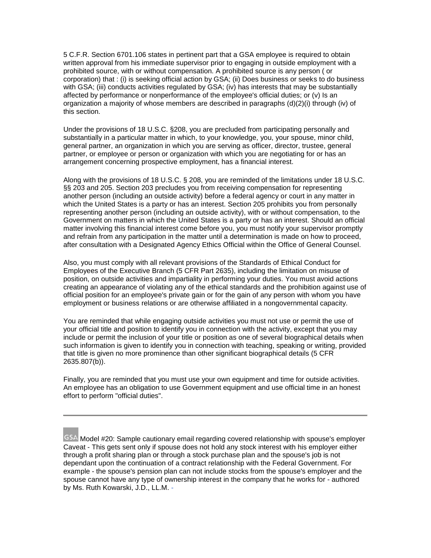5 C.F.R. Section 6701.106 states in pertinent part that a GSA employee is required to obtain written approval from his immediate supervisor prior to engaging in outside employment with a prohibited source, with or without compensation. A prohibited source is any person ( or corporation) that : (i) is seeking official action by GSA; (ii) Does business or seeks to do business with GSA; (iii) conducts activities regulated by GSA; (iv) has interests that may be substantially affected by performance or nonperformance of the employee's official duties; or (v) Is an organization a majority of whose members are described in paragraphs (d)(2)(i) through (iv) of this section.

Under the provisions of 18 U.S.C. §208, you are precluded from participating personally and substantially in a particular matter in which, to your knowledge, you, your spouse, minor child, general partner, an organization in which you are serving as officer, director, trustee, general partner, or employee or person or organization with which you are negotiating for or has an arrangement concerning prospective employment, has a financial interest.

Along with the provisions of 18 U.S.C. § 208, you are reminded of the limitations under 18 U.S.C. §§ 203 and 205. Section 203 precludes you from receiving compensation for representing another person (including an outside activity) before a federal agency or court in any matter in which the United States is a party or has an interest. Section 205 prohibits you from personally representing another person (including an outside activity), with or without compensation, to the Government on matters in which the United States is a party or has an interest. Should an official matter involving this financial interest come before you, you must notify your supervisor promptly and refrain from any participation in the matter until a determination is made on how to proceed, after consultation with a Designated Agency Ethics Official within the Office of General Counsel.

Also, you must comply with all relevant provisions of the Standards of Ethical Conduct for Employees of the Executive Branch (5 CFR Part 2635), including the limitation on misuse of position, on outside activities and impartiality in performing your duties. You must avoid actions creating an appearance of violating any of the ethical standards and the prohibition against use of official position for an employee's private gain or for the gain of any person with whom you have employment or business relations or are otherwise affiliated in a nongovernmental capacity.

You are reminded that while engaging outside activities you must not use or permit the use of your official title and position to identify you in connection with the activity, except that you may include or permit the inclusion of your title or position as one of several biographical details when such information is given to identify you in connection with teaching, speaking or writing, provided that title is given no more prominence than other significant biographical details (5 CFR 2635.807(b)).

Finally, you are reminded that you must use your own equipment and time for outside activities. An employee has an obligation to use Government equipment and use official time in an honest effort to perform "official duties".

<span id="page-17-0"></span>GSA Model #20: Sample cautionary email regarding covered relationship with spouse's employer Caveat - This gets sent only if spouse does not hold any stock interest with his employer either through a profit sharing plan or through a stock purchase plan and the spouse's job is not dependant upon the continuation of a contract relationship with the Federal Government. For example - the spouse's pension plan can not include stocks from the spouse's employer and the spouse cannot have any type of ownership interest in the company that he works for - authored by Ms. Ruth Kowarski, J.D., LL.M. -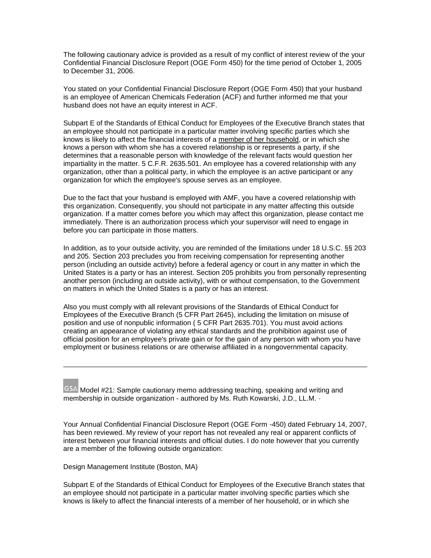The following cautionary advice is provided as a result of my conflict of interest review of the your Confidential Financial Disclosure Report (OGE Form 450) for the time period of October 1, 2005 to December 31, 2006.

You stated on your Confidential Financial Disclosure Report (OGE Form 450) that your husband is an employee of American Chemicals Federation (ACF) and further informed me that your husband does not have an equity interest in ACF.

Subpart E of the Standards of Ethical Conduct for Employees of the Executive Branch states that an employee should not participate in a particular matter involving specific parties which she knows is likely to affect the financial interests of a member of her household, or in which she knows a person with whom she has a covered relationship is or represents a party, if she determines that a reasonable person with knowledge of the relevant facts would question her impartiality in the matter. 5 C.F.R. 2635.501. An employee has a covered relationship with any organization, other than a political party, in which the employee is an active participant or any organization for which the employee's spouse serves as an employee.

Due to the fact that your husband is employed with AMF, you have a covered relationship with this organization. Consequently, you should not participate in any matter affecting this outside organization. If a matter comes before you which may affect this organization, please contact me immediately. There is an authorization process which your supervisor will need to engage in before you can participate in those matters.

In addition, as to your outside activity, you are reminded of the limitations under 18 U.S.C. §§ 203 and 205. Section 203 precludes you from receiving compensation for representing another person (including an outside activity) before a federal agency or court in any matter in which the United States is a party or has an interest. Section 205 prohibits you from personally representing another person (including an outside activity), with or without compensation, to the Government on matters in which the United States is a party or has an interest.

Also you must comply with all relevant provisions of the Standards of Ethical Conduct for Employees of the Executive Branch (5 CFR Part 2645), including the limitation on misuse of position and use of nonpublic information ( 5 CFR Part 2635.701). You must avoid actions creating an appearance of violating any ethical standards and the prohibition against use of official position for an employee's private gain or for the gain of any person with whom you have employment or business relations or are otherwise affiliated in a nongovernmental capacity.

<span id="page-18-0"></span> $GSA$  Model #21: Sample cautionary memo addressing teaching, speaking and writing and membership in outside organization - authored by Ms. Ruth Kowarski, J.D., LL.M. -

Your Annual Confidential Financial Disclosure Report (OGE Form -450) dated February 14, 2007, has been reviewed. My review of your report has not revealed any real or apparent conflicts of interest between your financial interests and official duties. I do note however that you currently are a member of the following outside organization:

Design Management Institute (Boston, MA)

Subpart E of the Standards of Ethical Conduct for Employees of the Executive Branch states that an employee should not participate in a particular matter involving specific parties which she knows is likely to affect the financial interests of a member of her household, or in which she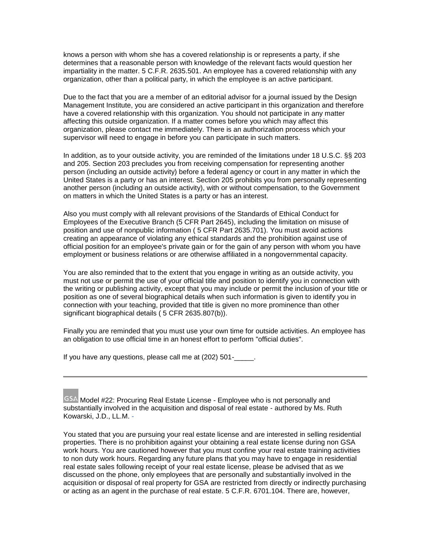knows a person with whom she has a covered relationship is or represents a party, if she determines that a reasonable person with knowledge of the relevant facts would question her impartiality in the matter. 5 C.F.R. 2635.501. An employee has a covered relationship with any organization, other than a political party, in which the employee is an active participant.

Due to the fact that you are a member of an editorial advisor for a journal issued by the Design Management Institute, you are considered an active participant in this organization and therefore have a covered relationship with this organization. You should not participate in any matter affecting this outside organization. If a matter comes before you which may affect this organization, please contact me immediately. There is an authorization process which your supervisor will need to engage in before you can participate in such matters.

In addition, as to your outside activity, you are reminded of the limitations under 18 U.S.C. §§ 203 and 205. Section 203 precludes you from receiving compensation for representing another person (including an outside activity) before a federal agency or court in any matter in which the United States is a party or has an interest. Section 205 prohibits you from personally representing another person (including an outside activity), with or without compensation, to the Government on matters in which the United States is a party or has an interest.

Also you must comply with all relevant provisions of the Standards of Ethical Conduct for Employees of the Executive Branch (5 CFR Part 2645), including the limitation on misuse of position and use of nonpublic information ( 5 CFR Part 2635.701). You must avoid actions creating an appearance of violating any ethical standards and the prohibition against use of official position for an employee's private gain or for the gain of any person with whom you have employment or business relations or are otherwise affiliated in a nongovernmental capacity.

You are also reminded that to the extent that you engage in writing as an outside activity, you must not use or permit the use of your official title and position to identify you in connection with the writing or publishing activity, except that you may include or permit the inclusion of your title or position as one of several biographical details when such information is given to identify you in connection with your teaching, provided that title is given no more prominence than other significant biographical details ( 5 CFR 2635.807(b)).

Finally you are reminded that you must use your own time for outside activities. An employee has an obligation to use official time in an honest effort to perform "official duties".

If you have any questions, please call me at  $(202)$  501- $\ldots$ 

<span id="page-19-0"></span>GSA Model #22: Procuring Real Estate License - Employee who is not personally and substantially involved in the acquisition and disposal of real estate - authored by Ms. Ruth Kowarski, J.D., LL.M. -

You stated that you are pursuing your real estate license and are interested in selling residential properties. There is no prohibition against your obtaining a real estate license during non GSA work hours. You are cautioned however that you must confine your real estate training activities to non duty work hours. Regarding any future plans that you may have to engage in residential real estate sales following receipt of your real estate license, please be advised that as we discussed on the phone, only employees that are personally and substantially involved in the acquisition or disposal of real property for GSA are restricted from directly or indirectly purchasing or acting as an agent in the purchase of real estate. 5 C.F.R. 6701.104. There are, however,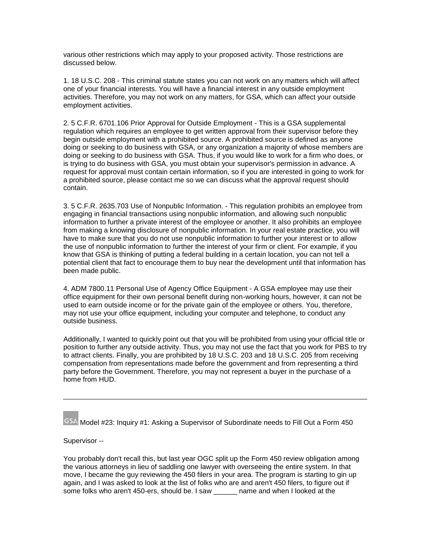various other restrictions which may apply to your proposed activity. Those restrictions are discussed below.

1. 18 U.S.C. 208 - This criminal statute states you can not work on any matters which will affect one of your financial interests. You will have a financial interest in any outside employment activities. Therefore, you may not work on any matters, for GSA, which can affect your outside employment activities.

2. 5 C.F.R. 6701.106 Prior Approval for Outside Employment - This is a GSA supplemental regulation which requires an employee to get written approval from their supervisor before they begin outside employment with a prohibited source. A prohibited source is defined as anyone doing or seeking to do business with GSA, or any organization a majority of whose members are doing or seeking to do business with GSA. Thus, if you would like to work for a firm who does, or is trying to do business with GSA, you must obtain your supervisor's permission in advance. A request for approval must contain certain information, so if you are interested in going to work for a prohibited source, please contact me so we can discuss what the approval request should contain.

3. 5 C.F.R. 2635.703 Use of Nonpublic Information. - This regulation prohibits an employee from engaging in financial transactions using nonpublic information, and allowing such nonpublic information to further a private interest of the employee or another. It also prohibits an employee from making a knowing disclosure of nonpublic information. In your real estate practice, you will have to make sure that you do not use nonpublic information to further your interest or to allow the use of nonpublic information to further the interest of your firm or client. For example, if you know that GSA is thinking of putting a federal building in a certain location, you can not tell a potential client that fact to encourage them to buy near the development until that information has been made public.

4. ADM 7800.11 Personal Use of Agency Office Equipment - A GSA employee may use their office equipment for their own personal benefit during non-working hours, however, it can not be used to earn outside income or for the private gain of the employee or others. You, therefore, may not use your office equipment, including your computer and telephone, to conduct any outside business.

Additionally, I wanted to quickly point out that you will be prohibited from using your official title or position to further any outside activity. Thus, you may not use the fact that you work for PBS to try to attract clients. Finally, you are prohibited by 18 U.S.C. 203 and 18 U.S.C. 205 from receiving compensation from representations made before the government and from representing a third party before the Government. Therefore, you may not represent a buyer in the purchase of a home from HUD.

<span id="page-20-0"></span>GSA Model #23: Inquiry #1: Asking a Supervisor of Subordinate needs to Fill Out a Form 450

### Supervisor --

You probably don't recall this, but last year OGC split up the Form 450 review obligation among the various attorneys in lieu of saddling one lawyer with overseeing the entire system. In that move, I became the guy reviewing the 450 filers in your area. The program is starting to gin up again, and I was asked to look at the list of folks who are and aren't 450 filers, to figure out if some folks who aren't 450-ers, should be. I saw \_\_\_\_\_\_ name and when I looked at the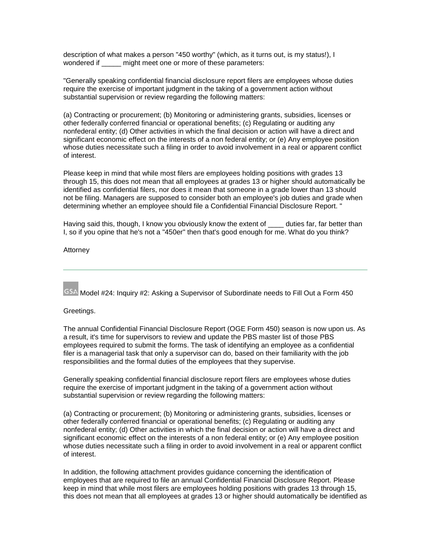description of what makes a person "450 worthy" (which, as it turns out, is my status!), I wondered if early might meet one or more of these parameters:

"Generally speaking confidential financial disclosure report filers are employees whose duties require the exercise of important judgment in the taking of a government action without substantial supervision or review regarding the following matters:

(a) Contracting or procurement; (b) Monitoring or administering grants, subsidies, licenses or other federally conferred financial or operational benefits; (c) Regulating or auditing any nonfederal entity; (d) Other activities in which the final decision or action will have a direct and significant economic effect on the interests of a non federal entity; or (e) Any employee position whose duties necessitate such a filing in order to avoid involvement in a real or apparent conflict of interest.

Please keep in mind that while most filers are employees holding positions with grades 13 through 15, this does not mean that all employees at grades 13 or higher should automatically be identified as confidential filers, nor does it mean that someone in a grade lower than 13 should not be filing. Managers are supposed to consider both an employee's job duties and grade when determining whether an employee should file a Confidential Financial Disclosure Report. "

Having said this, though, I know you obviously know the extent of sack duties far, far better than I, so if you opine that he's not a "450er" then that's good enough for me. What do you think?

#### Attorney

<span id="page-21-0"></span>GSA Model #24: Inquiry #2: Asking a Supervisor of Subordinate needs to Fill Out a Form 450

#### Greetings.

The annual Confidential Financial Disclosure Report (OGE Form 450) season is now upon us. As a result, it's time for supervisors to review and update the PBS master list of those PBS employees required to submit the forms. The task of identifying an employee as a confidential filer is a managerial task that only a supervisor can do, based on their familiarity with the job responsibilities and the formal duties of the employees that they supervise.

Generally speaking confidential financial disclosure report filers are employees whose duties require the exercise of important judgment in the taking of a government action without substantial supervision or review regarding the following matters:

(a) Contracting or procurement; (b) Monitoring or administering grants, subsidies, licenses or other federally conferred financial or operational benefits; (c) Regulating or auditing any nonfederal entity; (d) Other activities in which the final decision or action will have a direct and significant economic effect on the interests of a non federal entity; or (e) Any employee position whose duties necessitate such a filing in order to avoid involvement in a real or apparent conflict of interest.

In addition, the following attachment provides guidance concerning the identification of employees that are required to file an annual Confidential Financial Disclosure Report. Please keep in mind that while most filers are employees holding positions with grades 13 through 15, this does not mean that all employees at grades 13 or higher should automatically be identified as